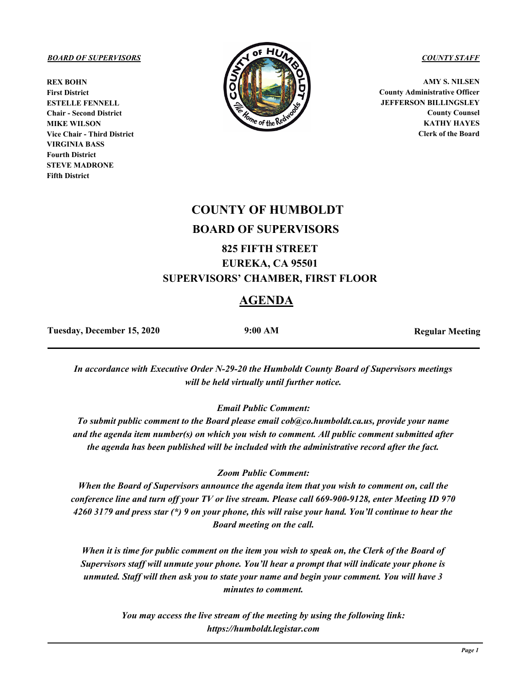**REX BOHN First District ESTELLE FENNELL Chair - Second District MIKE WILSON Vice Chair - Third District VIRGINIA BASS Fourth District STEVE MADRONE Fifth District**



**AMY S. NILSEN County Administrative Officer JEFFERSON BILLINGSLEY County Counsel KATHY HAYES Clerk of the Board**

# **COUNTY OF HUMBOLDT BOARD OF SUPERVISORS**

# **825 FIFTH STREET EUREKA, CA 95501 SUPERVISORS' CHAMBER, FIRST FLOOR**

# **AGENDA**

Tuesday, December 15, 2020 **9:00 AM Regular Meeting** 

*In accordance with Executive Order N-29-20 the Humboldt County Board of Supervisors meetings will be held virtually until further notice.*

*Email Public Comment:* 

*To submit public comment to the Board please email cob@co.humboldt.ca.us, provide your name and the agenda item number(s) on which you wish to comment. All public comment submitted after the agenda has been published will be included with the administrative record after the fact.* 

*Zoom Public Comment:* 

*When the Board of Supervisors announce the agenda item that you wish to comment on, call the conference line and turn off your TV or live stream. Please call 669-900-9128, enter Meeting ID 970 4260 3179 and press star (\*) 9 on your phone, this will raise your hand. You'll continue to hear the Board meeting on the call.* 

*When it is time for public comment on the item you wish to speak on, the Clerk of the Board of Supervisors staff will unmute your phone. You'll hear a prompt that will indicate your phone is unmuted. Staff will then ask you to state your name and begin your comment. You will have 3 minutes to comment.* 

> *You may access the live stream of the meeting by using the following link: https://humboldt.legistar.com*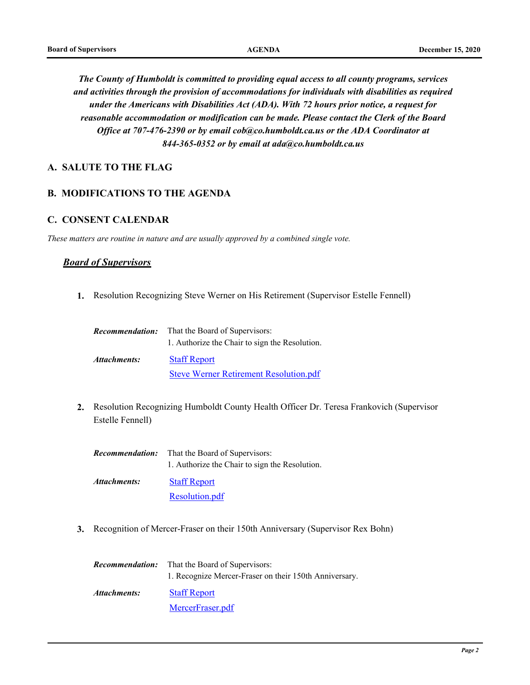*The County of Humboldt is committed to providing equal access to all county programs, services and activities through the provision of accommodations for individuals with disabilities as required under the Americans with Disabilities Act (ADA). With 72 hours prior notice, a request for reasonable accommodation or modification can be made. Please contact the Clerk of the Board Office at 707-476-2390 or by email cob@co.humboldt.ca.us or the ADA Coordinator at 844-365-0352 or by email at ada@co.humboldt.ca.us*

# **A. SALUTE TO THE FLAG**

#### **B. MODIFICATIONS TO THE AGENDA**

#### **C. CONSENT CALENDAR**

*These matters are routine in nature and are usually approved by a combined single vote.*

#### *Board of Supervisors*

**1.** Resolution Recognizing Steve Werner on His Retirement (Supervisor Estelle Fennell)

|              | <b>Recommendation:</b> That the Board of Supervisors: |
|--------------|-------------------------------------------------------|
|              | 1. Authorize the Chair to sign the Resolution.        |
| Attachments: | <b>Staff Report</b>                                   |
|              | <b>Steve Werner Retirement Resolution.pdf</b>         |

Resolution Recognizing Humboldt County Health Officer Dr. Teresa Frankovich (Supervisor **2.** Estelle Fennell)

| <i>Recommendation:</i> | That the Board of Supervisors:                 |
|------------------------|------------------------------------------------|
|                        | 1. Authorize the Chair to sign the Resolution. |
| Attachments:           | <b>Staff Report</b>                            |
|                        | Resolution.pdf                                 |

**3.** Recognition of Mercer-Fraser on their 150th Anniversary (Supervisor Rex Bohn)

|              | <b>Recommendation:</b> That the Board of Supervisors:  |  |
|--------------|--------------------------------------------------------|--|
|              | 1. Recognize Mercer-Fraser on their 150th Anniversary. |  |
| Attachments: | <b>Staff Report</b>                                    |  |
|              | MercerFraser.pdf                                       |  |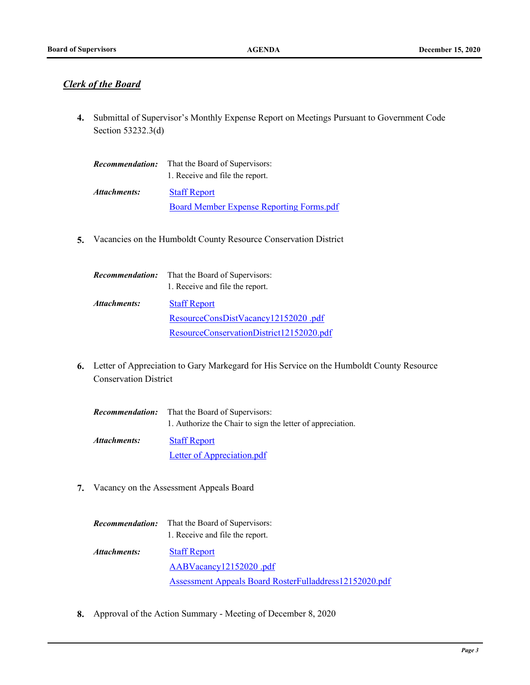# *Clerk of the Board*

4. Submittal of Supervisor's Monthly Expense Report on Meetings Pursuant to Government Code Section 53232.3(d)

| <i>Recommendation:</i> | That the Board of Supervisors:           |
|------------------------|------------------------------------------|
|                        | 1. Receive and file the report.          |
| Attachments:           | <b>Staff Report</b>                      |
|                        | Board Member Expense Reporting Forms.pdf |

**5.** Vacancies on the Humboldt County Resource Conservation District

| <i>Recommendation:</i> | That the Board of Supervisors:<br>1. Receive and file the report. |
|------------------------|-------------------------------------------------------------------|
| Attachments:           | <b>Staff Report</b>                                               |
|                        | ResourceConsDistVacancy12152020.pdf                               |
|                        | ResourceConservationDistrict12152020.pdf                          |

Letter of Appreciation to Gary Markegard for His Service on the Humboldt County Resource **6.** Conservation District

| <i>Recommendation:</i> | That the Board of Supervisors:                             |
|------------------------|------------------------------------------------------------|
|                        | 1. Authorize the Chair to sign the letter of appreciation. |
| Attachments:           | <b>Staff Report</b>                                        |
|                        | Letter of Appreciation.pdf                                 |

**7.** Vacancy on the Assessment Appeals Board

| Recommendation: | That the Board of Supervisors:                         |
|-----------------|--------------------------------------------------------|
|                 | 1. Receive and file the report.                        |
| Attachments:    | <b>Staff Report</b>                                    |
|                 | AABVacancy12152020.pdf                                 |
|                 | Assessment Appeals Board RosterFulladdress12152020.pdf |

**8.** Approval of the Action Summary - Meeting of December 8, 2020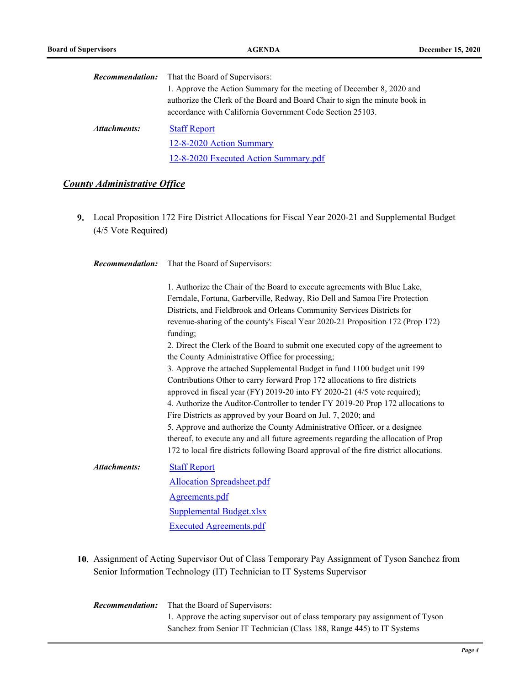|              | <b>Recommendation:</b> That the Board of Supervisors:                                                                                                                                                             |  |
|--------------|-------------------------------------------------------------------------------------------------------------------------------------------------------------------------------------------------------------------|--|
|              | 1. Approve the Action Summary for the meeting of December 8, 2020 and<br>authorize the Clerk of the Board and Board Chair to sign the minute book in<br>accordance with California Government Code Section 25103. |  |
| Attachments: | <b>Staff Report</b>                                                                                                                                                                                               |  |
|              | 12-8-2020 Action Summary                                                                                                                                                                                          |  |
|              | 12-8-2020 Executed Action Summary.pdf                                                                                                                                                                             |  |

#### *County Administrative Office*

Local Proposition 172 Fire District Allocations for Fiscal Year 2020-21 and Supplemental Budget **9.** (4/5 Vote Required)

| <b>Recommendation:</b> | That the Board of Supervisors: |
|------------------------|--------------------------------|
|------------------------|--------------------------------|

1. Authorize the Chair of the Board to execute agreements with Blue Lake, Ferndale, Fortuna, Garberville, Redway, Rio Dell and Samoa Fire Protection Districts, and Fieldbrook and Orleans Community Services Districts for revenue-sharing of the county's Fiscal Year 2020-21 Proposition 172 (Prop 172) funding; 2. Direct the Clerk of the Board to submit one executed copy of the agreement to

the County Administrative Office for processing; 3. Approve the attached Supplemental Budget in fund 1100 budget unit 199 Contributions Other to carry forward Prop 172 allocations to fire districts approved in fiscal year (FY) 2019-20 into FY 2020-21 (4/5 vote required);

4. Authorize the Auditor-Controller to tender FY 2019-20 Prop 172 allocations to Fire Districts as approved by your Board on Jul. 7, 2020; and

5. Approve and authorize the County Administrative Officer, or a designee thereof, to execute any and all future agreements regarding the allocation of Prop 172 to local fire districts following Board approval of the fire district allocations.

#### [Staff Report](http://humboldt.legistar.com/gateway.aspx?M=F&ID=b99ad040-1661-468f-81f8-f093ca3c946b.pdf) *Attachments:*

[Allocation Spreadsheet.pdf](http://humboldt.legistar.com/gateway.aspx?M=F&ID=d253c68d-85d9-45e1-89b5-7aff7b0e1859.pdf) [Agreements.pdf](http://humboldt.legistar.com/gateway.aspx?M=F&ID=63f0463c-b8ca-42a1-8a45-22a814e56928.pdf) [Supplemental Budget.xlsx](http://humboldt.legistar.com/gateway.aspx?M=F&ID=fb57e91a-ed7d-4cd5-9f6f-961ee2f50973.xlsx) [Executed Agreements.pdf](http://humboldt.legistar.com/gateway.aspx?M=F&ID=05c33723-8f69-4993-94fb-6808fac03d27.pdf)

10. Assignment of Acting Supervisor Out of Class Temporary Pay Assignment of Tyson Sanchez from Senior Information Technology (IT) Technician to IT Systems Supervisor

That the Board of Supervisors: 1. Approve the acting supervisor out of class temporary pay assignment of Tyson Sanchez from Senior IT Technician (Class 188, Range 445) to IT Systems *Recommendation:*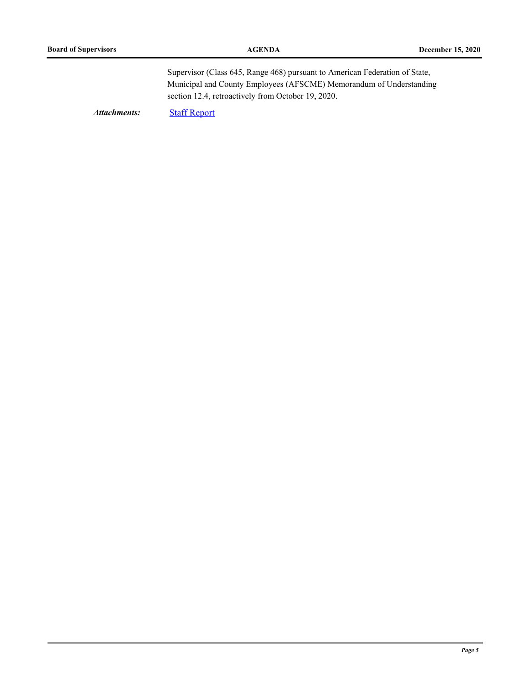Supervisor (Class 645, Range 468) pursuant to American Federation of State, Municipal and County Employees (AFSCME) Memorandum of Understanding section 12.4, retroactively from October 19, 2020.

*Attachments:* [Staff Report](http://humboldt.legistar.com/gateway.aspx?M=F&ID=dc6789fa-0415-4124-ada4-a1bfc4868666.pdf)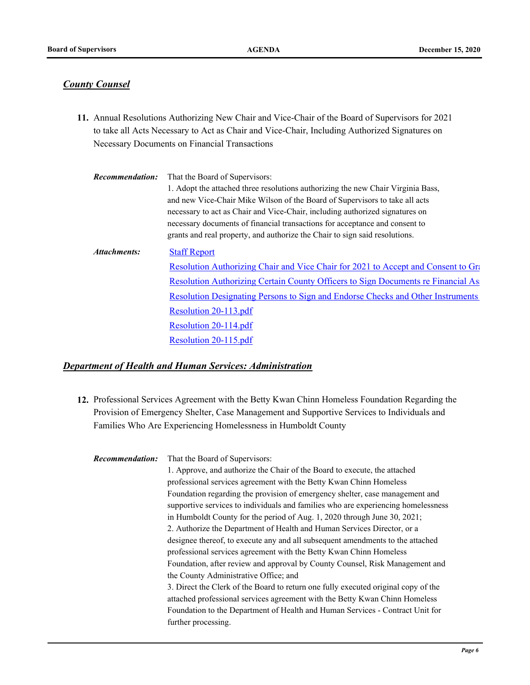#### *County Counsel*

11. Annual Resolutions Authorizing New Chair and Vice-Chair of the Board of Supervisors for 2021 to take all Acts Necessary to Act as Chair and Vice-Chair, Including Authorized Signatures on Necessary Documents on Financial Transactions

| <b>Recommendation:</b> | That the Board of Supervisors:                                                    |
|------------------------|-----------------------------------------------------------------------------------|
|                        | 1. Adopt the attached three resolutions authorizing the new Chair Virginia Bass,  |
|                        | and new Vice-Chair Mike Wilson of the Board of Supervisors to take all acts       |
|                        | necessary to act as Chair and Vice-Chair, including authorized signatures on      |
|                        | necessary documents of financial transactions for acceptance and consent to       |
|                        | grants and real property, and authorize the Chair to sign said resolutions.       |
| Attachments:           | <b>Staff Report</b>                                                               |
|                        | Resolution Authorizing Chair and Vice Chair for 2021 to Accept and Consent to Gra |
|                        | Resolution Authorizing Certain County Officers to Sign Documents re Financial As  |
|                        | Resolution Designating Persons to Sign and Endorse Checks and Other Instruments   |
|                        | Resolution 20-113.pdf                                                             |
|                        | Resolution 20-114.pdf                                                             |
|                        | Resolution 20-115.pdf                                                             |

#### *Department of Health and Human Services: Administration*

12. Professional Services Agreement with the Betty Kwan Chinn Homeless Foundation Regarding the Provision of Emergency Shelter, Case Management and Supportive Services to Individuals and Families Who Are Experiencing Homelessness in Humboldt County

That the Board of Supervisors: 1. Approve, and authorize the Chair of the Board to execute, the attached professional services agreement with the Betty Kwan Chinn Homeless Foundation regarding the provision of emergency shelter, case management and supportive services to individuals and families who are experiencing homelessness in Humboldt County for the period of Aug. 1, 2020 through June 30, 2021; 2. Authorize the Department of Health and Human Services Director, or a designee thereof, to execute any and all subsequent amendments to the attached professional services agreement with the Betty Kwan Chinn Homeless Foundation, after review and approval by County Counsel, Risk Management and the County Administrative Office; and 3. Direct the Clerk of the Board to return one fully executed original copy of the attached professional services agreement with the Betty Kwan Chinn Homeless Foundation to the Department of Health and Human Services - Contract Unit for further processing. *Recommendation:*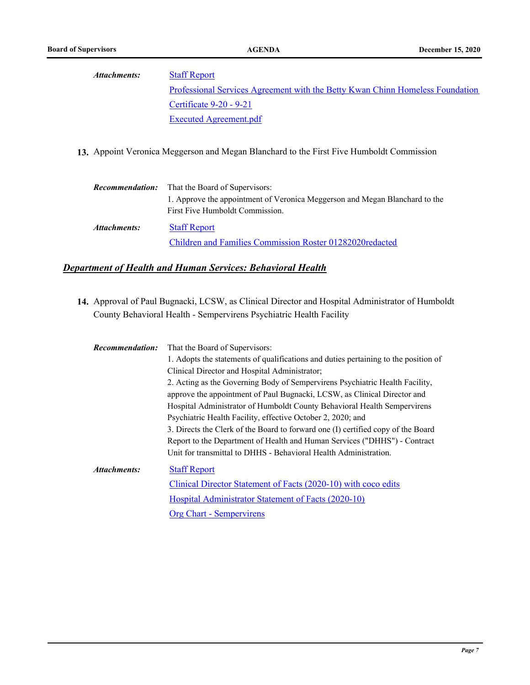#### **[Staff Report](http://humboldt.legistar.com/gateway.aspx?M=F&ID=0aff003b-4a1f-46a9-8d08-587d939f049b.pdf)** *Attachments:*

Professional Services Agreement with the Betty Kwan Chinn Homeless Foundation [Certificate 9-20 - 9-21](http://humboldt.legistar.com/gateway.aspx?M=F&ID=02b9ebbb-0665-40c8-95a0-e67001910e16.pdf) [Executed Agreement.pdf](http://humboldt.legistar.com/gateway.aspx?M=F&ID=9065a736-5eea-4701-941e-ec1725aaacd8.pdf)

**13.** Appoint Veronica Meggerson and Megan Blanchard to the First Five Humboldt Commission

| <i><b>Recommendation:</b></i> | That the Board of Supervisors:                                                                                 |  |
|-------------------------------|----------------------------------------------------------------------------------------------------------------|--|
|                               | 1. Approve the appointment of Veronica Meggerson and Megan Blanchard to the<br>First Five Humboldt Commission. |  |
| Attachments:                  | <b>Staff Report</b>                                                                                            |  |
|                               | Children and Families Commission Roster 01282020redacted                                                       |  |

# *Department of Health and Human Services: Behavioral Health*

14. Approval of Paul Bugnacki, LCSW, as Clinical Director and Hospital Administrator of Humboldt County Behavioral Health - Sempervirens Psychiatric Health Facility

| 1. Adopts the statements of qualifications and duties pertaining to the position of<br>Clinical Director and Hospital Administrator;<br>2. Acting as the Governing Body of Sempervirens Psychiatric Health Facility,<br>approve the appointment of Paul Bugnacki, LCSW, as Clinical Director and<br>Hospital Administrator of Humboldt County Behavioral Health Sempervirens |  |
|------------------------------------------------------------------------------------------------------------------------------------------------------------------------------------------------------------------------------------------------------------------------------------------------------------------------------------------------------------------------------|--|
|                                                                                                                                                                                                                                                                                                                                                                              |  |
|                                                                                                                                                                                                                                                                                                                                                                              |  |
|                                                                                                                                                                                                                                                                                                                                                                              |  |
|                                                                                                                                                                                                                                                                                                                                                                              |  |
|                                                                                                                                                                                                                                                                                                                                                                              |  |
| Psychiatric Health Facility, effective October 2, 2020; and                                                                                                                                                                                                                                                                                                                  |  |
| 3. Directs the Clerk of the Board to forward one (I) certified copy of the Board                                                                                                                                                                                                                                                                                             |  |
| Report to the Department of Health and Human Services ("DHHS") - Contract                                                                                                                                                                                                                                                                                                    |  |
| Unit for transmittal to DHHS - Behavioral Health Administration.                                                                                                                                                                                                                                                                                                             |  |
| Attachments:<br><b>Staff Report</b>                                                                                                                                                                                                                                                                                                                                          |  |
| Clinical Director Statement of Facts (2020-10) with coco edits                                                                                                                                                                                                                                                                                                               |  |
| Hospital Administrator Statement of Facts (2020-10)                                                                                                                                                                                                                                                                                                                          |  |
| <b>Org Chart - Sempervirens</b>                                                                                                                                                                                                                                                                                                                                              |  |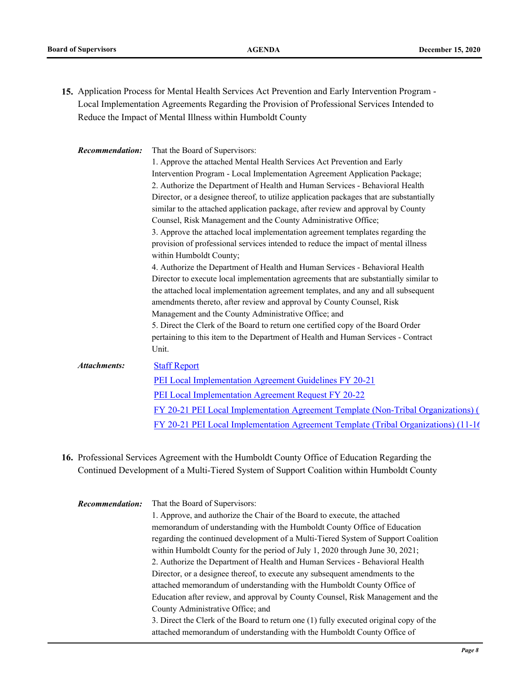15. Application Process for Mental Health Services Act Prevention and Early Intervention Program -Local Implementation Agreements Regarding the Provision of Professional Services Intended to Reduce the Impact of Mental Illness within Humboldt County

| Recommendation:     | That the Board of Supervisors:                                                           |  |
|---------------------|------------------------------------------------------------------------------------------|--|
|                     | 1. Approve the attached Mental Health Services Act Prevention and Early                  |  |
|                     | Intervention Program - Local Implementation Agreement Application Package;               |  |
|                     | 2. Authorize the Department of Health and Human Services - Behavioral Health             |  |
|                     | Director, or a designee thereof, to utilize application packages that are substantially  |  |
|                     | similar to the attached application package, after review and approval by County         |  |
|                     | Counsel, Risk Management and the County Administrative Office;                           |  |
|                     | 3. Approve the attached local implementation agreement templates regarding the           |  |
|                     | provision of professional services intended to reduce the impact of mental illness       |  |
|                     | within Humboldt County;                                                                  |  |
|                     | 4. Authorize the Department of Health and Human Services - Behavioral Health             |  |
|                     | Director to execute local implementation agreements that are substantially similar to    |  |
|                     | the attached local implementation agreement templates, and any and all subsequent        |  |
|                     | amendments thereto, after review and approval by County Counsel, Risk                    |  |
|                     | Management and the County Administrative Office; and                                     |  |
|                     | 5. Direct the Clerk of the Board to return one certified copy of the Board Order         |  |
|                     | pertaining to this item to the Department of Health and Human Services - Contract        |  |
|                     | Unit.                                                                                    |  |
| <b>Attachments:</b> | <b>Staff Report</b>                                                                      |  |
|                     | PEI Local Implementation Agreement Guidelines FY 20-21                                   |  |
|                     | <b>PEI Local Implementation Agreement Request FY 20-22</b>                               |  |
|                     | <u>FY 20-21 PEI Local Implementation Agreement Template (Non-Tribal Organizations) (</u> |  |
|                     | $FY$ 20-21 PEI Local Implementation Agreement Template (Tribal Organizations) (11-16)    |  |
|                     |                                                                                          |  |

16. Professional Services Agreement with the Humboldt County Office of Education Regarding the Continued Development of a Multi-Tiered System of Support Coalition within Humboldt County

That the Board of Supervisors: 1. Approve, and authorize the Chair of the Board to execute, the attached memorandum of understanding with the Humboldt County Office of Education regarding the continued development of a Multi-Tiered System of Support Coalition within Humboldt County for the period of July 1, 2020 through June 30, 2021; 2. Authorize the Department of Health and Human Services - Behavioral Health Director, or a designee thereof, to execute any subsequent amendments to the attached memorandum of understanding with the Humboldt County Office of Education after review, and approval by County Counsel, Risk Management and the County Administrative Office; and 3. Direct the Clerk of the Board to return one (1) fully executed original copy of the attached memorandum of understanding with the Humboldt County Office of *Recommendation:*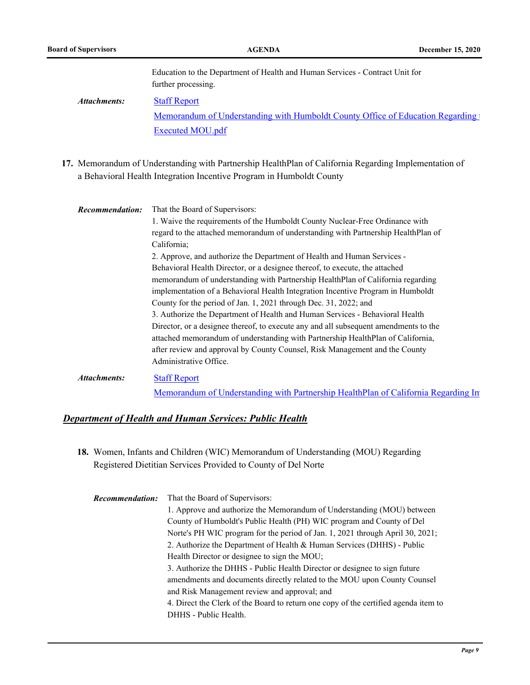Education to the Department of Health and Human Services - Contract Unit for further processing.

[Staff Report](http://humboldt.legistar.com/gateway.aspx?M=F&ID=fad8d31a-9310-457b-adc6-9741f0bc45fb.pdf) Memorandum of Understanding with Humboldt County Office of Education Regarding to [Executed MOU.pdf](http://humboldt.legistar.com/gateway.aspx?M=F&ID=0d2d2ffd-6525-43fc-8f58-b4b9a311594d.pdf) *Attachments:*

17. Memorandum of Understanding with Partnership HealthPlan of California Regarding Implementation of a Behavioral Health Integration Incentive Program in Humboldt County

| <b>Recommendation:</b><br><b>Attachments:</b> | That the Board of Supervisors:<br>1. Waive the requirements of the Humboldt County Nuclear-Free Ordinance with<br>regard to the attached memorandum of understanding with Partnership HealthPlan of<br>California;<br>2. Approve, and authorize the Department of Health and Human Services -<br>Behavioral Health Director, or a designee thereof, to execute, the attached<br>memorandum of understanding with Partnership HealthPlan of California regarding<br>implementation of a Behavioral Health Integration Incentive Program in Humboldt<br>County for the period of Jan. 1, 2021 through Dec. 31, 2022; and<br>3. Authorize the Department of Health and Human Services - Behavioral Health |
|-----------------------------------------------|--------------------------------------------------------------------------------------------------------------------------------------------------------------------------------------------------------------------------------------------------------------------------------------------------------------------------------------------------------------------------------------------------------------------------------------------------------------------------------------------------------------------------------------------------------------------------------------------------------------------------------------------------------------------------------------------------------|
|                                               | Director, or a designee thereof, to execute any and all subsequent amendments to the<br>attached memorandum of understanding with Partnership HealthPlan of California,<br>after review and approval by County Counsel, Risk Management and the County<br>Administrative Office.<br><b>Staff Report</b>                                                                                                                                                                                                                                                                                                                                                                                                |

Memorandum of Understanding with Partnership Health Plan of California Regarding In

#### *Department of Health and Human Services: Public Health*

18. Women, Infants and Children (WIC) Memorandum of Understanding (MOU) Regarding Registered Dietitian Services Provided to County of Del Norte

| <b>Recommendation:</b>                                                                                                                                  | That the Board of Supervisors:                                                      |  |
|---------------------------------------------------------------------------------------------------------------------------------------------------------|-------------------------------------------------------------------------------------|--|
|                                                                                                                                                         | 1. Approve and authorize the Memorandum of Understanding (MOU) between              |  |
|                                                                                                                                                         | County of Humboldt's Public Health (PH) WIC program and County of Del               |  |
| Norte's PH WIC program for the period of Jan. 1, 2021 through April 30, 2021;<br>2. Authorize the Department of Health & Human Services (DHHS) - Public |                                                                                     |  |
|                                                                                                                                                         |                                                                                     |  |
| 3. Authorize the DHHS - Public Health Director or designee to sign future                                                                               |                                                                                     |  |
|                                                                                                                                                         | amendments and documents directly related to the MOU upon County Counsel            |  |
| and Risk Management review and approval; and                                                                                                            |                                                                                     |  |
|                                                                                                                                                         | 4. Direct the Clerk of the Board to return one copy of the certified agenda item to |  |
|                                                                                                                                                         | DHHS - Public Health.                                                               |  |
|                                                                                                                                                         |                                                                                     |  |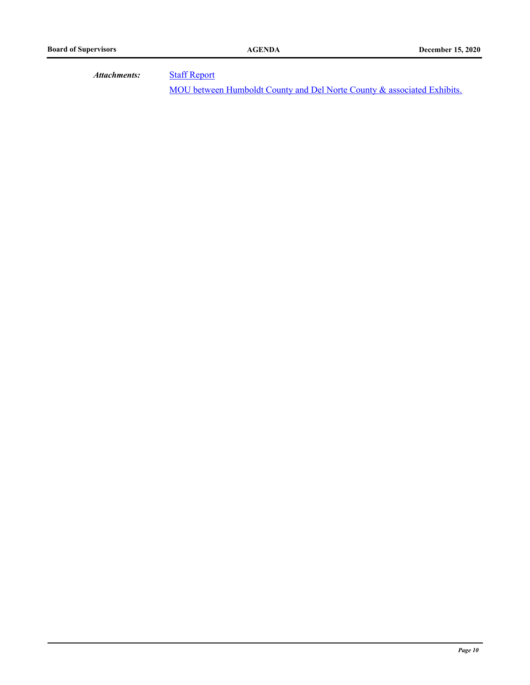*Attachments:*

**[Staff Report](http://humboldt.legistar.com/gateway.aspx?M=F&ID=6a66bb06-f1e9-414c-829d-2f09c41174f0.pdf)** 

[MOU between Humboldt County and Del Norte County & associated Exhibits.](http://humboldt.legistar.com/gateway.aspx?M=F&ID=90a7310e-1aa9-43af-944d-d880d2380bfe.pdf)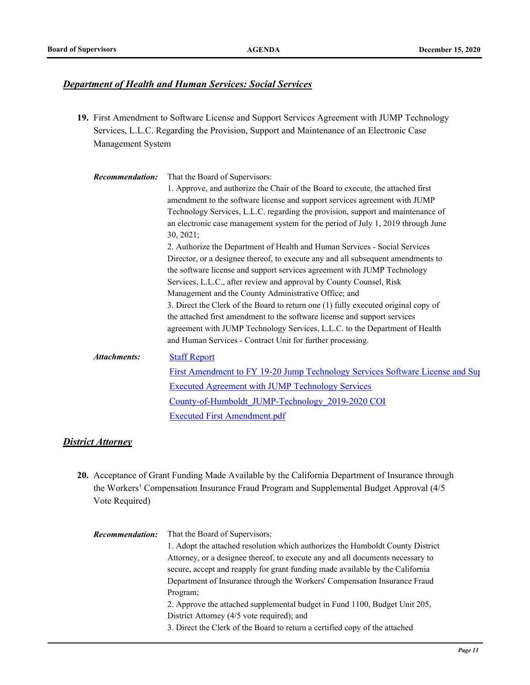#### *Department of Health and Human Services: Social Services*

19. First Amendment to Software License and Support Services Agreement with JUMP Technology Services, L.L.C. Regarding the Provision, Support and Maintenance of an Electronic Case Management System

| Recommendation:     | That the Board of Supervisors:                                                     |  |
|---------------------|------------------------------------------------------------------------------------|--|
|                     | 1. Approve, and authorize the Chair of the Board to execute, the attached first    |  |
|                     | amendment to the software license and support services agreement with JUMP         |  |
|                     | Technology Services, L.L.C. regarding the provision, support and maintenance of    |  |
|                     | an electronic case management system for the period of July 1, 2019 through June   |  |
|                     | 30, 2021;                                                                          |  |
|                     | 2. Authorize the Department of Health and Human Services - Social Services         |  |
|                     | Director, or a designee thereof, to execute any and all subsequent amendments to   |  |
|                     | the software license and support services agreement with JUMP Technology           |  |
|                     | Services, L.L.C., after review and approval by County Counsel, Risk                |  |
|                     | Management and the County Administrative Office; and                               |  |
|                     | 3. Direct the Clerk of the Board to return one (1) fully executed original copy of |  |
|                     | the attached first amendment to the software license and support services          |  |
|                     | agreement with JUMP Technology Services, L.L.C. to the Department of Health        |  |
|                     | and Human Services - Contract Unit for further processing.                         |  |
| <b>Attachments:</b> | <b>Staff Report</b>                                                                |  |
|                     | First Amendment to FY 19-20 Jump Technology Services Software License and Sup      |  |
|                     | <b>Executed Agreement with JUMP Technology Services</b>                            |  |
|                     | County-of-Humboldt JUMP-Technology 2019-2020 COI                                   |  |
|                     | <b>Executed First Amendment.pdf</b>                                                |  |

#### *District Attorney*

- Acceptance of Grant Funding Made Available by the California Department of Insurance through **20.** the Workers' Compensation Insurance Fraud Program and Supplemental Budget Approval (4/5 Vote Required)
	- That the Board of Supervisors: 1. Adopt the attached resolution which authorizes the Humboldt County District Attorney, or a designee thereof, to execute any and all documents necessary to secure, accept and reapply for grant funding made available by the California Department of Insurance through the Workers' Compensation Insurance Fraud Program; 2. Approve the attached supplemental budget in Fund 1100, Budget Unit 205, District Attorney (4/5 vote required); and 3. Direct the Clerk of the Board to return a certified copy of the attached *Recommendation:*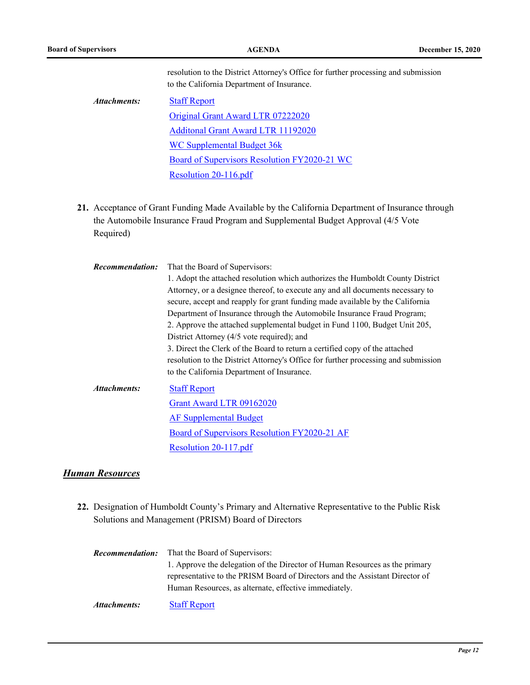resolution to the District Attorney's Office for further processing and submission to the California Department of Insurance.

| Attachments: | <b>Staff Report</b>                          |
|--------------|----------------------------------------------|
|              | Original Grant Award LTR 07222020            |
|              | Additonal Grant Award LTR 11192020           |
|              | WC Supplemental Budget 36k                   |
|              | Board of Supervisors Resolution FY2020-21 WC |
|              | Resolution 20-116.pdf                        |

21. Acceptance of Grant Funding Made Available by the California Department of Insurance through the Automobile Insurance Fraud Program and Supplemental Budget Approval (4/5 Vote Required)

| <b>Recommendation:</b> | That the Board of Supervisors:<br>1. Adopt the attached resolution which authorizes the Humboldt County District<br>Attorney, or a designee thereof, to execute any and all documents necessary to<br>secure, accept and reapply for grant funding made available by the California<br>Department of Insurance through the Automobile Insurance Fraud Program;<br>2. Approve the attached supplemental budget in Fund 1100, Budget Unit 205,<br>District Attorney (4/5 vote required); and<br>3. Direct the Clerk of the Board to return a certified copy of the attached<br>resolution to the District Attorney's Office for further processing and submission<br>to the California Department of Insurance. |
|------------------------|---------------------------------------------------------------------------------------------------------------------------------------------------------------------------------------------------------------------------------------------------------------------------------------------------------------------------------------------------------------------------------------------------------------------------------------------------------------------------------------------------------------------------------------------------------------------------------------------------------------------------------------------------------------------------------------------------------------|
| Attachments:           | <b>Staff Report</b><br>Grant Award LTR 09162020<br><b>AF Supplemental Budget</b><br>Board of Supervisors Resolution FY2020-21 AF<br>Resolution 20-117.pdf                                                                                                                                                                                                                                                                                                                                                                                                                                                                                                                                                     |

#### *Human Resources*

- 22. Designation of Humboldt County's Primary and Alternative Representative to the Public Risk Solutions and Management (PRISM) Board of Directors
	- That the Board of Supervisors: 1. Approve the delegation of the Director of Human Resources as the primary representative to the PRISM Board of Directors and the Assistant Director of Human Resources, as alternate, effective immediately. *Recommendation:*

*Attachments:* [Staff Report](http://humboldt.legistar.com/gateway.aspx?M=F&ID=71cbc910-a421-4fce-8cd3-36ec1de41bd7.pdf)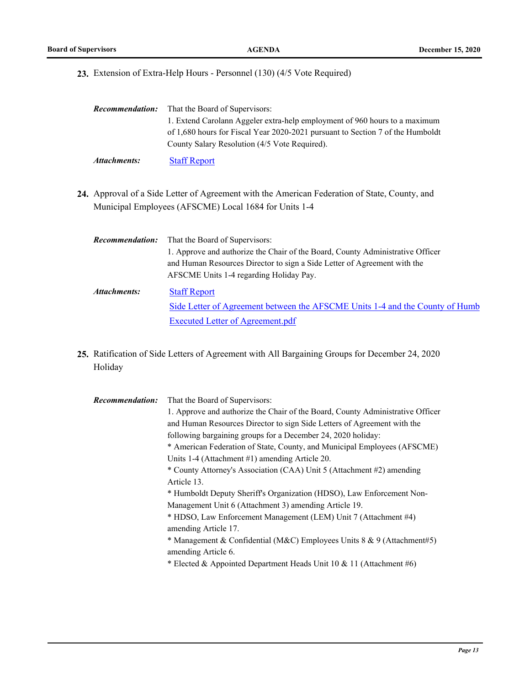**23.** Extension of Extra-Help Hours - Personnel (130) (4/5 Vote Required)

| <i>Recommendation:</i> | That the Board of Supervisors:                                                 |  |
|------------------------|--------------------------------------------------------------------------------|--|
|                        | 1. Extend Carolann Aggeler extra-help employment of 960 hours to a maximum     |  |
|                        | of 1,680 hours for Fiscal Year 2020-2021 pursuant to Section 7 of the Humboldt |  |
|                        | County Salary Resolution (4/5 Vote Required).                                  |  |
| Attachments:           | <b>Staff Report</b>                                                            |  |

- 24. Approval of a Side Letter of Agreement with the American Federation of State, County, and Municipal Employees (AFSCME) Local 1684 for Units 1-4
	- That the Board of Supervisors: 1. Approve and authorize the Chair of the Board, County Administrative Officer and Human Resources Director to sign a Side Letter of Agreement with the AFSCME Units 1-4 regarding Holiday Pay. *Recommendation:* [Staff Report](http://humboldt.legistar.com/gateway.aspx?M=F&ID=ff663e6b-744d-4327-afde-e58557da8df6.pdf) *Attachments:*

Side Letter of Agreement between the AFSCME Units 1-4 and the County of Humb [Executed Letter of Agreement.pdf](http://humboldt.legistar.com/gateway.aspx?M=F&ID=44bdb11d-b047-45b4-affd-bb664b8e9d44.pdf)

25. Ratification of Side Letters of Agreement with All Bargaining Groups for December 24, 2020 Holiday

| <b>Recommendation:</b> | That the Board of Supervisors:                                                 |
|------------------------|--------------------------------------------------------------------------------|
|                        | 1. Approve and authorize the Chair of the Board, County Administrative Officer |
|                        | and Human Resources Director to sign Side Letters of Agreement with the        |
|                        | following bargaining groups for a December 24, 2020 holiday:                   |
|                        | * American Federation of State, County, and Municipal Employees (AFSCME)       |
|                        | Units 1-4 (Attachment #1) amending Article 20.                                 |
|                        | * County Attorney's Association (CAA) Unit 5 (Attachment #2) amending          |
|                        | Article 13.                                                                    |
|                        | * Humboldt Deputy Sheriff's Organization (HDSO), Law Enforcement Non-          |
|                        | Management Unit 6 (Attachment 3) amending Article 19.                          |
|                        | * HDSO, Law Enforcement Management (LEM) Unit 7 (Attachment #4)                |
|                        | amending Article 17.                                                           |
|                        | * Management & Confidential (M&C) Employees Units 8 & 9 (Attachment#5)         |
|                        | amending Article 6.                                                            |
|                        | * Elected & Appointed Department Heads Unit 10 & 11 (Attachment #6)            |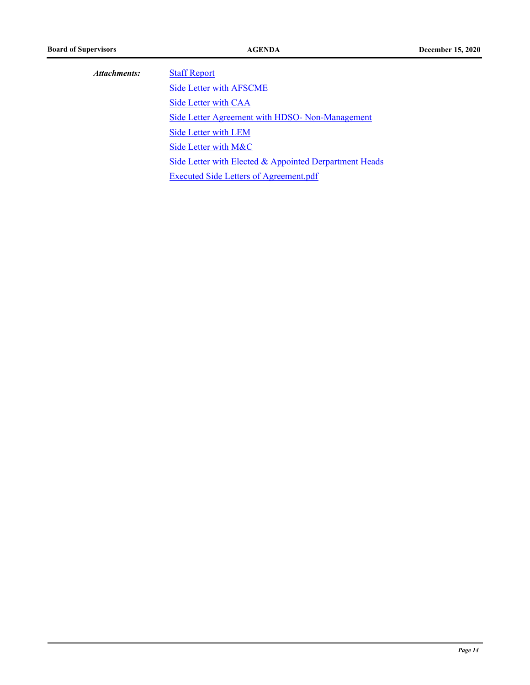| Attachments:         | <b>Staff Report</b>                                    |  |
|----------------------|--------------------------------------------------------|--|
|                      | <b>Side Letter with AFSCME</b>                         |  |
|                      | Side Letter with CAA                                   |  |
| Side Letter with LEM | Side Letter Agreement with HDSO- Non-Management        |  |
|                      |                                                        |  |
|                      | Side Letter with M&C                                   |  |
|                      | Side Letter with Elected & Appointed Derpartment Heads |  |
|                      | <b>Executed Side Letters of Agreement.pdf</b>          |  |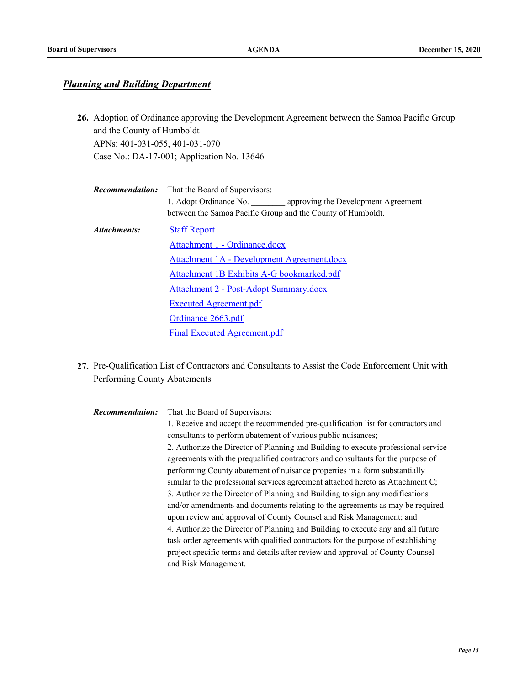# *Planning and Building Department*

Adoption of Ordinance approving the Development Agreement between the Samoa Pacific Group **26.** and the County of Humboldt APNs: 401-031-055, 401-031-070 Case No.: DA-17-001; Application No. 13646

| <b>Recommendation:</b>        | That the Board of Supervisors:                                    |  |
|-------------------------------|-------------------------------------------------------------------|--|
|                               | 1. Adopt Ordinance No. <b>approving the Development Agreement</b> |  |
|                               | between the Samoa Pacific Group and the County of Humboldt.       |  |
| Attachments:                  | <b>Staff Report</b>                                               |  |
| Attachment 1 - Ordinance.docx |                                                                   |  |
|                               | Attachment 1A - Development Agreement.docx                        |  |
|                               | Attachment 1B Exhibits A-G bookmarked.pdf                         |  |
|                               | <b>Attachment 2 - Post-Adopt Summary.docx</b>                     |  |
|                               | <b>Executed Agreement.pdf</b>                                     |  |
|                               | Ordinance 2663.pdf                                                |  |
|                               | Final Executed Agreement.pdf                                      |  |

27. Pre-Qualification List of Contractors and Consultants to Assist the Code Enforcement Unit with Performing County Abatements

| <b>Recommendation:</b> | That the Board of Supervisors:                                                     |
|------------------------|------------------------------------------------------------------------------------|
|                        | 1. Receive and accept the recommended pre-qualification list for contractors and   |
|                        | consultants to perform abatement of various public nuisances;                      |
|                        | 2. Authorize the Director of Planning and Building to execute professional service |
|                        | agreements with the prequalified contractors and consultants for the purpose of    |
|                        | performing County abatement of nuisance properties in a form substantially         |
|                        | similar to the professional services agreement attached hereto as Attachment C;    |
|                        | 3. Authorize the Director of Planning and Building to sign any modifications       |
|                        | and/or amendments and documents relating to the agreements as may be required      |
|                        | upon review and approval of County Counsel and Risk Management; and                |
|                        | 4. Authorize the Director of Planning and Building to execute any and all future   |
|                        | task order agreements with qualified contractors for the purpose of establishing   |
|                        | project specific terms and details after review and approval of County Counsel     |
|                        | and Risk Management.                                                               |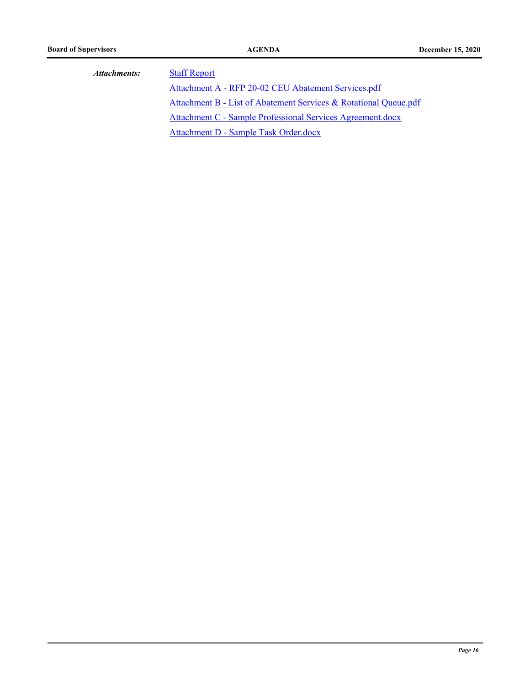| Attachments: | <b>Staff Repo</b> |
|--------------|-------------------|
|              |                   |

<u>ort</u> [Attachment A - RFP 20-02 CEU Abatement Services.pdf](http://humboldt.legistar.com/gateway.aspx?M=F&ID=4fe99815-9362-4019-81cf-95ab062bf016.pdf) [Attachment B - List of Abatement Services & Rotational Queue.pdf](http://humboldt.legistar.com/gateway.aspx?M=F&ID=d55a5087-70d7-441b-bd16-724dbfeeaad9.pdf) [Attachment C - Sample Professional Services Agreement.docx](http://humboldt.legistar.com/gateway.aspx?M=F&ID=6848d50b-d8ed-4769-8001-8e13d98e0a00.docx) [Attachment D - Sample Task Order.docx](http://humboldt.legistar.com/gateway.aspx?M=F&ID=12234f59-04c6-4941-9b26-d4b73fef5968.docx)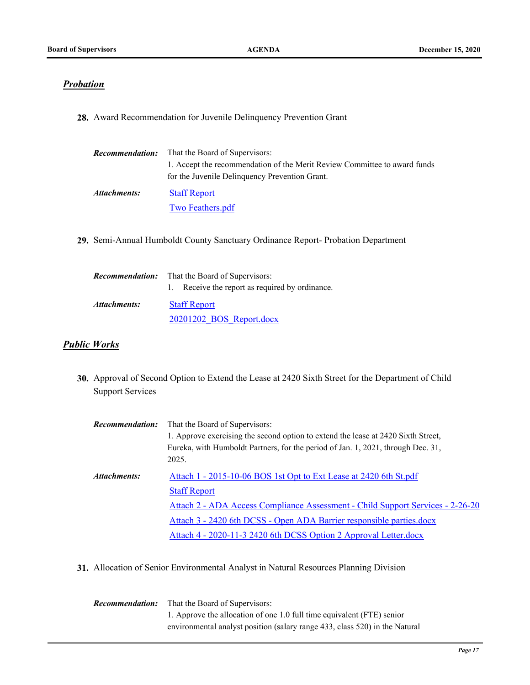#### *Probation*

**28.** Award Recommendation for Juvenile Delinquency Prevention Grant

| <i>Recommendation:</i> | That the Board of Supervisors:                                            |
|------------------------|---------------------------------------------------------------------------|
|                        | 1. Accept the recommendation of the Merit Review Committee to award funds |
|                        | for the Juvenile Delinquency Prevention Grant.                            |
| Attachments:           | <b>Staff Report</b>                                                       |
|                        | Two Feathers.pdf                                                          |

**29.** Semi-Annual Humboldt County Sanctuary Ordinance Report- Probation Department

| <i><b>Recommendation:</b></i> | That the Board of Supervisors:                  |
|-------------------------------|-------------------------------------------------|
|                               | 1. Receive the report as required by ordinance. |
| Attachments:                  | <b>Staff Report</b>                             |
|                               | 20201202 BOS Report.docx                        |

#### *Public Works*

Approval of Second Option to Extend the Lease at 2420 Sixth Street for the Department of Child **30.** Support Services

| <b>Recommendation:</b> | That the Board of Supervisors:                                                    |
|------------------------|-----------------------------------------------------------------------------------|
|                        | 1. Approve exercising the second option to extend the lease at 2420 Sixth Street, |
|                        | Eureka, with Humboldt Partners, for the period of Jan. 1, 2021, through Dec. 31,  |
|                        | 2025.                                                                             |
| Attachments:           | Attach 1 - 2015-10-06 BOS 1st Opt to Ext Lease at 2420 6th St.pdf                 |
|                        | <b>Staff Report</b>                                                               |
|                        | Attach 2 - ADA Access Compliance Assessment - Child Support Services - 2-26-20    |
|                        | Attach 3 - 2420 6th DCSS - Open ADA Barrier responsible parties.docx              |
|                        | Attach 4 - 2020-11-3 2420 6th DCSS Option 2 Approval Letter.docx                  |

**31.** Allocation of Senior Environmental Analyst in Natural Resources Planning Division

That the Board of Supervisors: 1. Approve the allocation of one 1.0 full time equivalent (FTE) senior environmental analyst position (salary range 433, class 520) in the Natural *Recommendation:*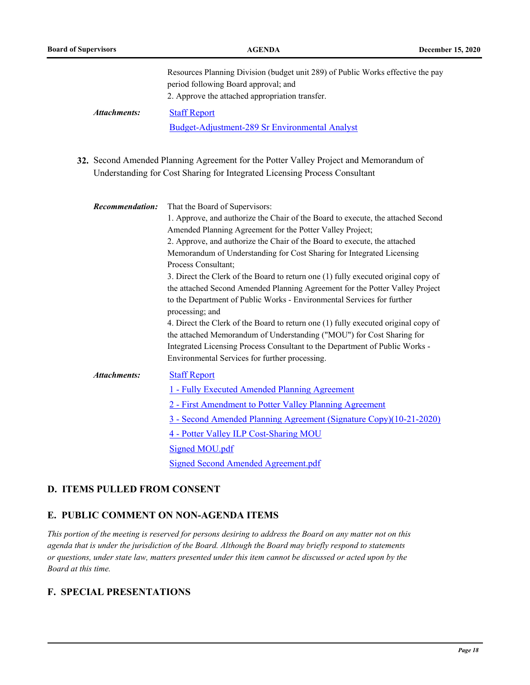|                        | Resources Planning Division (budget unit 289) of Public Works effective the pay<br>period following Board approval; and<br>2. Approve the attached appropriation transfer.                                                                   |
|------------------------|----------------------------------------------------------------------------------------------------------------------------------------------------------------------------------------------------------------------------------------------|
| Attachments:           | <b>Staff Report</b>                                                                                                                                                                                                                          |
|                        | Budget-Adjustment-289 Sr Environmental Analyst                                                                                                                                                                                               |
|                        |                                                                                                                                                                                                                                              |
|                        | 32. Second Amended Planning Agreement for the Potter Valley Project and Memorandum of<br>Understanding for Cost Sharing for Integrated Licensing Process Consultant                                                                          |
| <b>Recommendation:</b> | That the Board of Supervisors:                                                                                                                                                                                                               |
|                        | 1. Approve, and authorize the Chair of the Board to execute, the attached Second<br>Amended Planning Agreement for the Potter Valley Project;                                                                                                |
|                        | 2. Approve, and authorize the Chair of the Board to execute, the attached                                                                                                                                                                    |
|                        | Memorandum of Understanding for Cost Sharing for Integrated Licensing<br>Process Consultant;                                                                                                                                                 |
|                        | 3. Direct the Clerk of the Board to return one (1) fully executed original copy of<br>the attached Second Amended Planning Agreement for the Potter Valley Project<br>to the Department of Public Works - Environmental Services for further |
|                        | processing; and                                                                                                                                                                                                                              |
|                        | 4. Direct the Clerk of the Board to return one (1) fully executed original copy of<br>the attached Memorandum of Understanding ("MOU") for Cost Sharing for                                                                                  |
|                        | Integrated Licensing Process Consultant to the Department of Public Works -                                                                                                                                                                  |
|                        | Environmental Services for further processing.                                                                                                                                                                                               |
| <b>Attachments:</b>    | <b>Staff Report</b>                                                                                                                                                                                                                          |
|                        | 1 - Fully Executed Amended Planning Agreement                                                                                                                                                                                                |
|                        | 2 - First Amendment to Potter Valley Planning Agreement                                                                                                                                                                                      |
|                        | 3 - Second Amended Planning Agreement (Signature Copy)(10-21-2020)                                                                                                                                                                           |
|                        | 4 - Potter Valley ILP Cost-Sharing MOU                                                                                                                                                                                                       |
|                        | Signed MOU.pdf                                                                                                                                                                                                                               |
|                        | Signed Second Amended Agreement.pdf                                                                                                                                                                                                          |

#### **D. ITEMS PULLED FROM CONSENT**

# **E. PUBLIC COMMENT ON NON-AGENDA ITEMS**

*This portion of the meeting is reserved for persons desiring to address the Board on any matter not on this agenda that is under the jurisdiction of the Board. Although the Board may briefly respond to statements or questions, under state law, matters presented under this item cannot be discussed or acted upon by the Board at this time.*

## **F. SPECIAL PRESENTATIONS**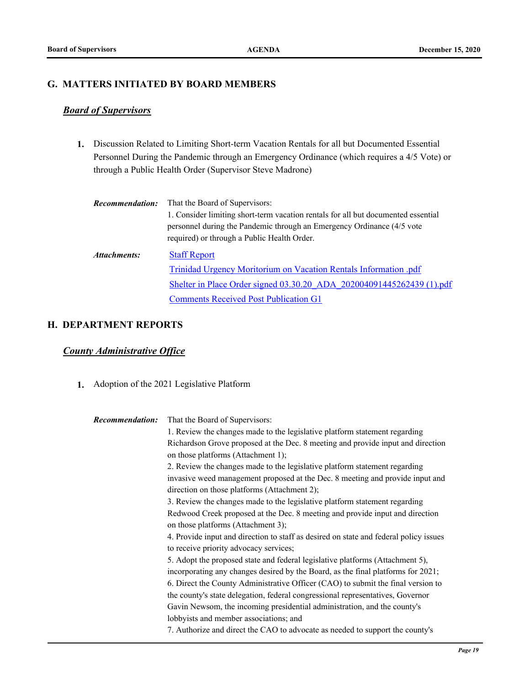#### **G. MATTERS INITIATED BY BOARD MEMBERS**

# *Board of Supervisors*

Discussion Related to Limiting Short-term Vacation Rentals for all but Documented Essential **1.** Personnel During the Pandemic through an Emergency Ordinance (which requires a 4/5 Vote) or through a Public Health Order (Supervisor Steve Madrone)

| <b>Recommendation:</b> | That the Board of Supervisors:                                                                                                                                                                             |
|------------------------|------------------------------------------------------------------------------------------------------------------------------------------------------------------------------------------------------------|
|                        | 1. Consider limiting short-term vacation rentals for all but documented essential<br>personnel during the Pandemic through an Emergency Ordinance (4/5 vote<br>required) or through a Public Health Order. |
| Attachments:           | <b>Staff Report</b>                                                                                                                                                                                        |
|                        | Trinidad Urgency Moritorium on Vacation Rentals Information .pdf                                                                                                                                           |
|                        | Shelter in Place Order signed 03.30.20 ADA 202004091445262439 (1).pdf                                                                                                                                      |
|                        | <b>Comments Received Post Publication G1</b>                                                                                                                                                               |

## **H. DEPARTMENT REPORTS**

# *County Administrative Office*

**1.** Adoption of the 2021 Legislative Platform

| <b>Recommendation:</b> | That the Board of Supervisors:                                                        |
|------------------------|---------------------------------------------------------------------------------------|
|                        | 1. Review the changes made to the legislative platform statement regarding            |
|                        | Richardson Grove proposed at the Dec. 8 meeting and provide input and direction       |
|                        | on those platforms (Attachment 1);                                                    |
|                        | 2. Review the changes made to the legislative platform statement regarding            |
|                        | invasive weed management proposed at the Dec. 8 meeting and provide input and         |
|                        | direction on those platforms (Attachment 2);                                          |
|                        | 3. Review the changes made to the legislative platform statement regarding            |
|                        | Redwood Creek proposed at the Dec. 8 meeting and provide input and direction          |
|                        | on those platforms (Attachment 3);                                                    |
|                        | 4. Provide input and direction to staff as desired on state and federal policy issues |
|                        | to receive priority advocacy services;                                                |
|                        | 5. Adopt the proposed state and federal legislative platforms (Attachment 5),         |
|                        | incorporating any changes desired by the Board, as the final platforms for 2021;      |
|                        | 6. Direct the County Administrative Officer (CAO) to submit the final version to      |
|                        | the county's state delegation, federal congressional representatives, Governor        |
|                        | Gavin Newsom, the incoming presidential administration, and the county's              |
|                        | lobbyists and member associations; and                                                |
|                        | 7. Authorize and direct the CAO to advocate as needed to support the county's         |
|                        |                                                                                       |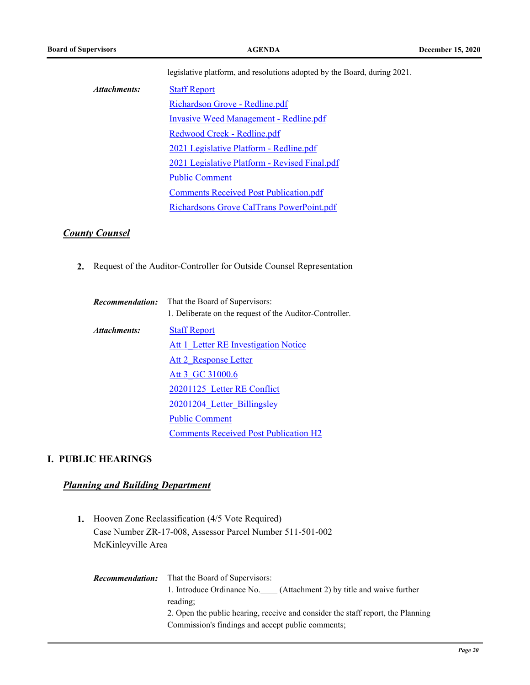|              | legislative platform, and resolutions adopted by the Board, during 2021. |
|--------------|--------------------------------------------------------------------------|
| Attachments: | <b>Staff Report</b>                                                      |
|              | Richardson Grove - Redline.pdf                                           |
|              | <b>Invasive Weed Management - Redline.pdf</b>                            |
|              | Redwood Creek - Redline.pdf                                              |
|              | 2021 Legislative Platform - Redline.pdf                                  |
|              | 2021 Legislative Platform - Revised Final.pdf                            |
|              | <b>Public Comment</b>                                                    |
|              | <b>Comments Received Post Publication.pdf</b>                            |
|              | Richardsons Grove CalTrans PowerPoint.pdf                                |

#### *County Counsel*

**2.** Request of the Auditor-Controller for Outside Counsel Representation

|              | <b>Recommendation:</b> That the Board of Supervisors:<br>1. Deliberate on the request of the Auditor-Controller. |
|--------------|------------------------------------------------------------------------------------------------------------------|
| Attachments: | <b>Staff Report</b>                                                                                              |
|              | Att 1 Letter RE Investigation Notice                                                                             |
|              | Att 2 Response Letter                                                                                            |
|              | Att 3 GC 31000.6                                                                                                 |
|              | 20201125 Letter RE Conflict                                                                                      |
|              | 20201204 Letter Billingsley                                                                                      |
|              | <b>Public Comment</b>                                                                                            |
|              | <b>Comments Received Post Publication H2</b>                                                                     |

#### **I. PUBLIC HEARINGS**

## *Planning and Building Department*

- 1. Hooven Zone Reclassification (4/5 Vote Required) Case Number ZR-17-008, Assessor Parcel Number 511-501-002 McKinleyville Area
	- That the Board of Supervisors: 1. Introduce Ordinance No.\_\_\_\_ (Attachment 2) by title and waive further reading; 2. Open the public hearing, receive and consider the staff report, the Planning Commission's findings and accept public comments; *Recommendation:*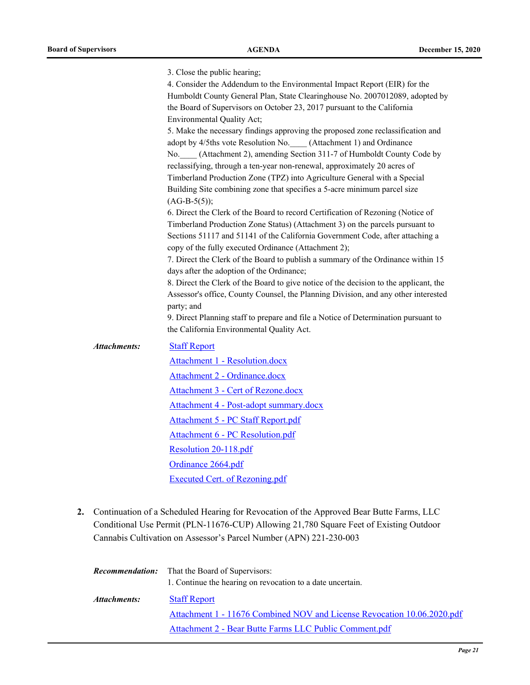|                     | 3. Close the public hearing;                                                                                                                      |
|---------------------|---------------------------------------------------------------------------------------------------------------------------------------------------|
|                     | 4. Consider the Addendum to the Environmental Impact Report (EIR) for the                                                                         |
|                     | Humboldt County General Plan, State Clearinghouse No. 2007012089, adopted by                                                                      |
|                     | the Board of Supervisors on October 23, 2017 pursuant to the California                                                                           |
|                     | <b>Environmental Quality Act;</b>                                                                                                                 |
|                     | 5. Make the necessary findings approving the proposed zone reclassification and                                                                   |
|                     | adopt by 4/5ths vote Resolution No. (Attachment 1) and Ordinance                                                                                  |
|                     | No. (Attachment 2), amending Section 311-7 of Humboldt County Code by<br>reclassifying, through a ten-year non-renewal, approximately 20 acres of |
|                     | Timberland Production Zone (TPZ) into Agriculture General with a Special                                                                          |
|                     | Building Site combining zone that specifies a 5-acre minimum parcel size<br>$(AG-B-5(5));$                                                        |
|                     | 6. Direct the Clerk of the Board to record Certification of Rezoning (Notice of                                                                   |
|                     | Timberland Production Zone Status) (Attachment 3) on the parcels pursuant to                                                                      |
|                     | Sections 51117 and 51141 of the California Government Code, after attaching a<br>copy of the fully executed Ordinance (Attachment 2);             |
|                     | 7. Direct the Clerk of the Board to publish a summary of the Ordinance within 15                                                                  |
|                     | days after the adoption of the Ordinance;                                                                                                         |
|                     | 8. Direct the Clerk of the Board to give notice of the decision to the applicant, the                                                             |
|                     | Assessor's office, County Counsel, the Planning Division, and any other interested<br>party; and                                                  |
|                     | 9. Direct Planning staff to prepare and file a Notice of Determination pursuant to                                                                |
|                     | the California Environmental Quality Act.                                                                                                         |
| <b>Attachments:</b> | <b>Staff Report</b>                                                                                                                               |
|                     | Attachment 1 - Resolution.docx                                                                                                                    |
|                     | Attachment 2 - Ordinance.docx                                                                                                                     |
|                     | Attachment 3 - Cert of Rezone.docx                                                                                                                |
|                     | Attachment 4 - Post-adopt summary.docx                                                                                                            |
|                     | Attachment 5 - PC Staff Report.pdf                                                                                                                |
|                     | <b>Attachment 6 - PC Resolution.pdf</b>                                                                                                           |
|                     | Resolution 20-118.pdf                                                                                                                             |
|                     | Ordinance 2664.pdf                                                                                                                                |
|                     | <b>Executed Cert. of Rezoning.pdf</b>                                                                                                             |

Continuation of a Scheduled Hearing for Revocation of the Approved Bear Butte Farms, LLC **2.** Conditional Use Permit (PLN-11676-CUP) Allowing 21,780 Square Feet of Existing Outdoor Cannabis Cultivation on Assessor's Parcel Number (APN) 221-230-003

|              | <b>Recommendation:</b> That the Board of Supervisors:                   |
|--------------|-------------------------------------------------------------------------|
|              | 1. Continue the hearing on revocation to a date uncertain.              |
| Attachments: | <b>Staff Report</b>                                                     |
|              | Attachment 1 - 11676 Combined NOV and License Revocation 10.06.2020.pdf |
|              | Attachment 2 - Bear Butte Farms LLC Public Comment.pdf                  |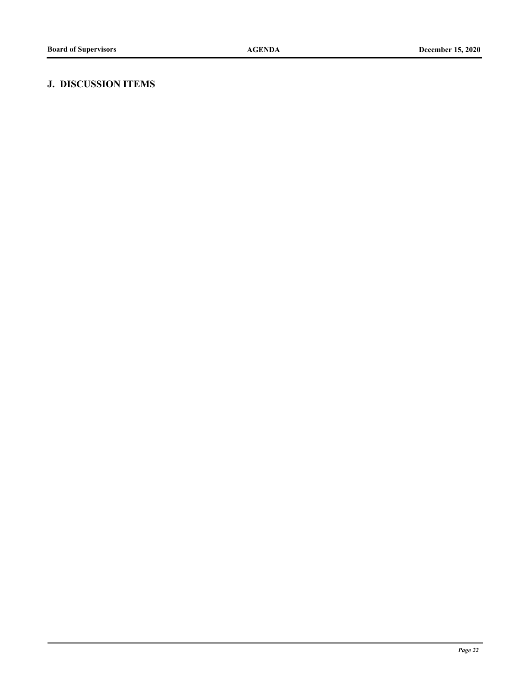# **J. DISCUSSION ITEMS**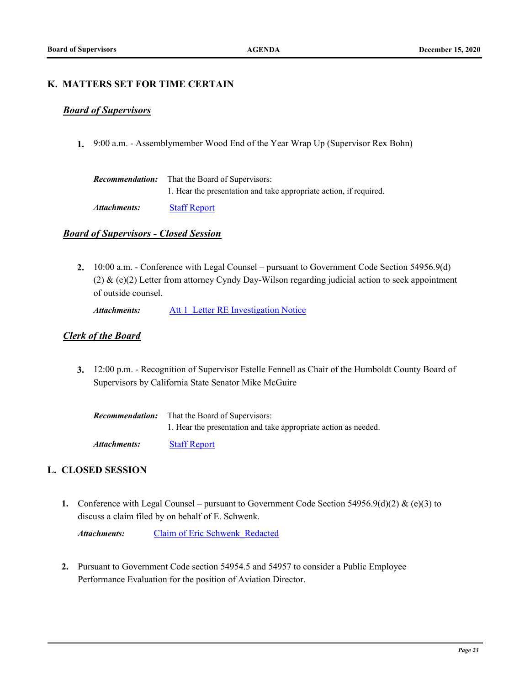#### **K. MATTERS SET FOR TIME CERTAIN**

#### *Board of Supervisors*

**1.** 9:00 a.m. - Assemblymember Wood End of the Year Wrap Up (Supervisor Rex Bohn)

| <b>Recommendation:</b> | That the Board of Supervisors:                                     |
|------------------------|--------------------------------------------------------------------|
|                        | 1. Hear the presentation and take appropriate action, if required. |
| $\blacksquare$         | $\alpha$ $\alpha$ $\alpha$                                         |

*Attachments:* [Staff Report](http://humboldt.legistar.com/gateway.aspx?M=F&ID=21773f72-8a05-4a70-946f-589c5b98f47c.pdf)

#### *Board of Supervisors - Closed Session*

10:00 a.m. - Conference with Legal Counsel – pursuant to Government Code Section 54956.9(d) **2.** (2) & (e)(2) Letter from attorney Cyndy Day-Wilson regarding judicial action to seek appointment of outside counsel.

Attachments: Att 1 Letter RE Investigation Notice

#### *Clerk of the Board*

12:00 p.m. - Recognition of Supervisor Estelle Fennell as Chair of the Humboldt County Board of **3.** Supervisors by California State Senator Mike McGuire

| Recommendation: | That the Board of Supervisors:                                  |
|-----------------|-----------------------------------------------------------------|
|                 | 1. Hear the presentation and take appropriate action as needed. |
| Attachments:    | <b>Staff Report</b>                                             |

#### **L. CLOSED SESSION**

Conference with Legal Counsel – pursuant to Government Code Section 54956.9(d)(2) & (e)(3) to **1.** discuss a claim filed by on behalf of E. Schwenk.

*Attachments:* [Claim of Eric Schwenk\\_Redacted](http://humboldt.legistar.com/gateway.aspx?M=F&ID=51d48461-ce5e-486c-8c09-33bc902d1b0b.pdf)

Pursuant to Government Code section 54954.5 and 54957 to consider a Public Employee **2.** Performance Evaluation for the position of Aviation Director.